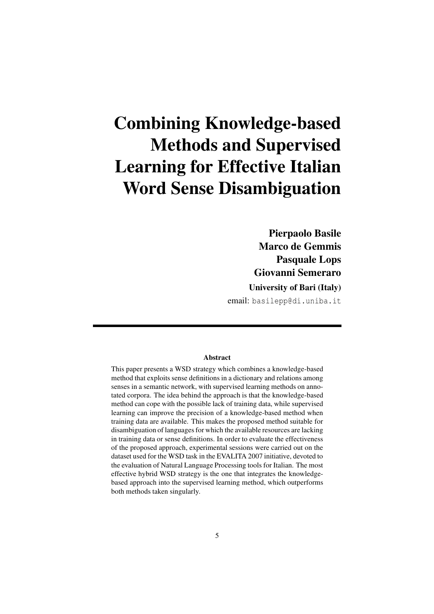# Combining Knowledge-based Methods and Supervised Learning for Effective Italian Word Sense Disambiguation

Pierpaolo Basile Marco de Gemmis Pasquale Lops Giovanni Semeraro

University of Bari (Italy)

email: basilepp@di.uniba.it

#### Abstract

This paper presents a WSD strategy which combines a knowledge-based method that exploits sense definitions in a dictionary and relations among senses in a semantic network, with supervised learning methods on annotated corpora. The idea behind the approach is that the knowledge-based method can cope with the possible lack of training data, while supervised learning can improve the precision of a knowledge-based method when training data are available. This makes the proposed method suitable for disambiguation of languages for which the available resources are lacking in training data or sense definitions. In order to evaluate the effectiveness of the proposed approach, experimental sessions were carried out on the dataset used for the WSD task in the EVALITA 2007 initiative, devoted to the evaluation of Natural Language Processing tools for Italian. The most effective hybrid WSD strategy is the one that integrates the knowledgebased approach into the supervised learning method, which outperforms both methods taken singularly.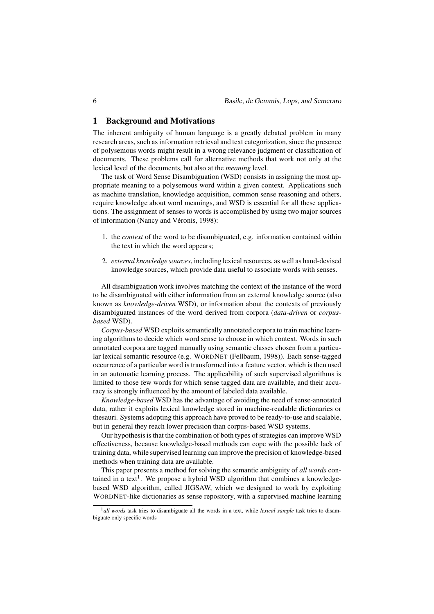## 1 Background and Motivations

The inherent ambiguity of human language is a greatly debated problem in many research areas, such as information retrieval and text categorization, since the presence of polysemous words might result in a wrong relevance judgment or classification of documents. These problems call for alternative methods that work not only at the lexical level of the documents, but also at the *meaning* level.

The task of Word Sense Disambiguation (WSD) consists in assigning the most appropriate meaning to a polysemous word within a given context. Applications such as machine translation, knowledge acquisition, common sense reasoning and others, require knowledge about word meanings, and WSD is essential for all these applications. The assignment of senses to words is accomplished by using two major sources of information (Nancy and Véronis, 1998):

- 1. the *context* of the word to be disambiguated, e.g. information contained within the text in which the word appears;
- 2. *external knowledge sources*, including lexical resources, as well as hand-devised knowledge sources, which provide data useful to associate words with senses.

All disambiguation work involves matching the context of the instance of the word to be disambiguated with either information from an external knowledge source (also known as *knowledge-driven* WSD), or information about the contexts of previously disambiguated instances of the word derived from corpora (*data-driven* or *corpusbased* WSD).

*Corpus-based* WSD exploits semantically annotated corpora to train machine learning algorithms to decide which word sense to choose in which context. Words in such annotated corpora are tagged manually using semantic classes chosen from a particular lexical semantic resource (e.g. WORDNET (Fellbaum, 1998)). Each sense-tagged occurrence of a particular word is transformed into a feature vector, which is then used in an automatic learning process. The applicability of such supervised algorithms is limited to those few words for which sense tagged data are available, and their accuracy is strongly influenced by the amount of labeled data available.

*Knowledge-based* WSD has the advantage of avoiding the need of sense-annotated data, rather it exploits lexical knowledge stored in machine-readable dictionaries or thesauri. Systems adopting this approach have proved to be ready-to-use and scalable, but in general they reach lower precision than corpus-based WSD systems.

Our hypothesis is that the combination of both types of strategies can improve WSD effectiveness, because knowledge-based methods can cope with the possible lack of training data, while supervised learning can improve the precision of knowledge-based methods when training data are available.

This paper presents a method for solving the semantic ambiguity of *all words* contained in a text<sup>1</sup>. We propose a hybrid WSD algorithm that combines a knowledgebased WSD algorithm, called JIGSAW, which we designed to work by exploiting WORDNET-like dictionaries as sense repository, with a supervised machine learning

<sup>1</sup>*all words* task tries to disambiguate all the words in a text, while *lexical sample* task tries to disambiguate only specific words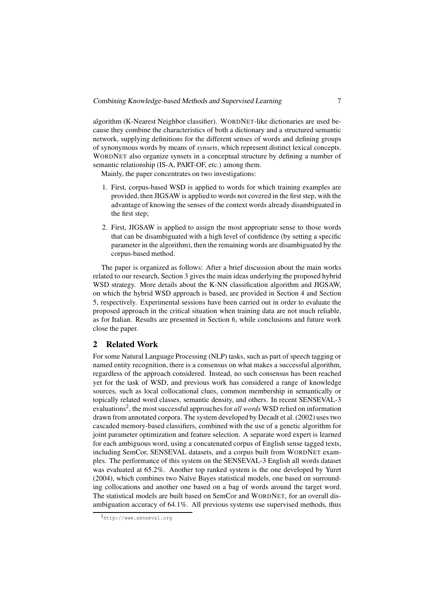algorithm (K-Nearest Neighbor classifier). WORDNET-like dictionaries are used because they combine the characteristics of both a dictionary and a structured semantic network, supplying definitions for the different senses of words and defining groups of synonymous words by means of *synsets*, which represent distinct lexical concepts. WORDNET also organize synsets in a conceptual structure by defining a number of semantic relationship (IS-A, PART-OF, etc.) among them.

Mainly, the paper concentrates on two investigations:

- 1. First, corpus-based WSD is applied to words for which training examples are provided, then JIGSAW is applied to words not covered in the first step, with the advantage of knowing the senses of the context words already disambiguated in the first step;
- 2. First, JIGSAW is applied to assign the most appropriate sense to those words that can be disambiguated with a high level of confidence (by setting a specific parameter in the algorithm), then the remaining words are disambiguated by the corpus-based method.

The paper is organized as follows: After a brief discussion about the main works related to our research, Section 3 gives the main ideas underlying the proposed hybrid WSD strategy. More details about the K-NN classification algorithm and JIGSAW, on which the hybrid WSD approach is based, are provided in Section 4 and Section 5, respectively. Experimental sessions have been carried out in order to evaluate the proposed approach in the critical situation when training data are not much reliable, as for Italian. Results are presented in Section 6, while conclusions and future work close the paper.

#### 2 Related Work

For some Natural Language Processing (NLP) tasks, such as part of speech tagging or named entity recognition, there is a consensus on what makes a successful algorithm, regardless of the approach considered. Instead, no such consensus has been reached yet for the task of WSD, and previous work has considered a range of knowledge sources, such as local collocational clues, common membership in semantically or topically related word classes, semantic density, and others. In recent SENSEVAL-3 evaluations<sup>2</sup>, the most successful approaches for *all words* WSD relied on information drawn from annotated corpora. The system developed by Decadt et al. (2002) uses two cascaded memory-based classifiers, combined with the use of a genetic algorithm for joint parameter optimization and feature selection. A separate word expert is learned for each ambiguous word, using a concatenated corpus of English sense tagged texts, including SemCor, SENSEVAL datasets, and a corpus built from WORDNET examples. The performance of this system on the SENSEVAL-3 English all words dataset was evaluated at 65.2%. Another top ranked system is the one developed by Yuret (2004), which combines two Naïve Bayes statistical models, one based on surrounding collocations and another one based on a bag of words around the target word. The statistical models are built based on SemCor and WORDNET, for an overall disambiguation accuracy of 64.1%. All previous systems use supervised methods, thus

<sup>2</sup>http://www.senseval.org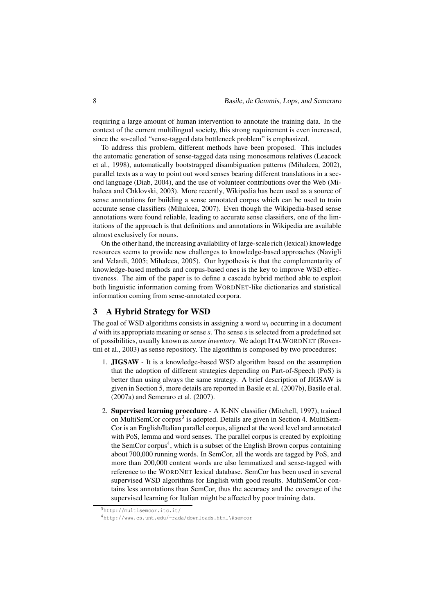requiring a large amount of human intervention to annotate the training data. In the context of the current multilingual society, this strong requirement is even increased, since the so-called "sense-tagged data bottleneck problem" is emphasized.

To address this problem, different methods have been proposed. This includes the automatic generation of sense-tagged data using monosemous relatives (Leacock et al., 1998), automatically bootstrapped disambiguation patterns (Mihalcea, 2002), parallel texts as a way to point out word senses bearing different translations in a second language (Diab, 2004), and the use of volunteer contributions over the Web (Mihalcea and Chklovski, 2003). More recently, Wikipedia has been used as a source of sense annotations for building a sense annotated corpus which can be used to train accurate sense classifiers (Mihalcea, 2007). Even though the Wikipedia-based sense annotations were found reliable, leading to accurate sense classifiers, one of the limitations of the approach is that definitions and annotations in Wikipedia are available almost exclusively for nouns.

On the other hand, the increasing availability of large-scale rich (lexical) knowledge resources seems to provide new challenges to knowledge-based approaches (Navigli and Velardi, 2005; Mihalcea, 2005). Our hypothesis is that the complementarity of knowledge-based methods and corpus-based ones is the key to improve WSD effectiveness. The aim of the paper is to define a cascade hybrid method able to exploit both linguistic information coming from WORDNET-like dictionaries and statistical information coming from sense-annotated corpora.

## 3 A Hybrid Strategy for WSD

The goal of WSD algorithms consists in assigning a word  $w_i$  occurring in a document *d* with its appropriate meaning or sense *s*. The sense *s* is selected from a predefined set of possibilities, usually known as *sense inventory*. We adopt ITALWORDNET (Roventini et al., 2003) as sense repository. The algorithm is composed by two procedures:

- 1. JIGSAW It is a knowledge-based WSD algorithm based on the assumption that the adoption of different strategies depending on Part-of-Speech (PoS) is better than using always the same strategy. A brief description of JIGSAW is given in Section 5, more details are reported in Basile et al. (2007b), Basile et al. (2007a) and Semeraro et al. (2007).
- 2. Supervised learning procedure A K-NN classifier (Mitchell, 1997), trained on MultiSemCor corpus<sup>3</sup> is adopted. Details are given in Section 4. MultiSem-Cor is an English/Italian parallel corpus, aligned at the word level and annotated with PoS, lemma and word senses. The parallel corpus is created by exploiting the SemCor corpus<sup>4</sup>, which is a subset of the English Brown corpus containing about 700,000 running words. In SemCor, all the words are tagged by PoS, and more than 200,000 content words are also lemmatized and sense-tagged with reference to the WORDNET lexical database. SemCor has been used in several supervised WSD algorithms for English with good results. MultiSemCor contains less annotations than SemCor, thus the accuracy and the coverage of the supervised learning for Italian might be affected by poor training data.

 $3$ http://multisemcor.itc.it.

<sup>4</sup>http://www.cs.unt.edu/~rada/downloads.html\#semcor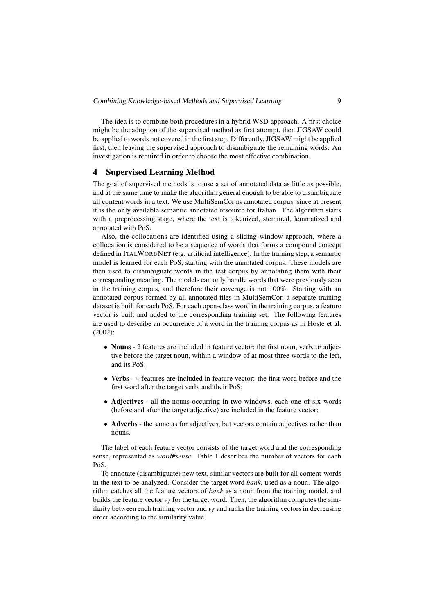The idea is to combine both procedures in a hybrid WSD approach. A first choice might be the adoption of the supervised method as first attempt, then JIGSAW could be applied to words not covered in the first step. Differently, JIGSAW might be applied first, then leaving the supervised approach to disambiguate the remaining words. An investigation is required in order to choose the most effective combination.

## 4 Supervised Learning Method

The goal of supervised methods is to use a set of annotated data as little as possible, and at the same time to make the algorithm general enough to be able to disambiguate all content words in a text. We use MultiSemCor as annotated corpus, since at present it is the only available semantic annotated resource for Italian. The algorithm starts with a preprocessing stage, where the text is tokenized, stemmed, lemmatized and annotated with PoS.

Also, the collocations are identified using a sliding window approach, where a collocation is considered to be a sequence of words that forms a compound concept defined in ITALWORDNET (e.g. artificial intelligence). In the training step, a semantic model is learned for each PoS, starting with the annotated corpus. These models are then used to disambiguate words in the test corpus by annotating them with their corresponding meaning. The models can only handle words that were previously seen in the training corpus, and therefore their coverage is not 100%. Starting with an annotated corpus formed by all annotated files in MultiSemCor, a separate training dataset is built for each PoS. For each open-class word in the training corpus, a feature vector is built and added to the corresponding training set. The following features are used to describe an occurrence of a word in the training corpus as in Hoste et al. (2002):

- Nouns 2 features are included in feature vector: the first noun, verb, or adjective before the target noun, within a window of at most three words to the left, and its PoS;
- Verbs 4 features are included in feature vector: the first word before and the first word after the target verb, and their PoS;
- Adjectives all the nouns occurring in two windows, each one of six words (before and after the target adjective) are included in the feature vector;
- Adverbs the same as for adjectives, but vectors contain adjectives rather than nouns.

The label of each feature vector consists of the target word and the corresponding sense, represented as *word#sense*. Table 1 describes the number of vectors for each PoS.

To annotate (disambiguate) new text, similar vectors are built for all content-words in the text to be analyzed. Consider the target word *bank*, used as a noun. The algorithm catches all the feature vectors of *bank* as a noun from the training model, and builds the feature vector  $v_f$  for the target word. Then, the algorithm computes the similarity between each training vector and  $v_f$  and ranks the training vectors in decreasing order according to the similarity value.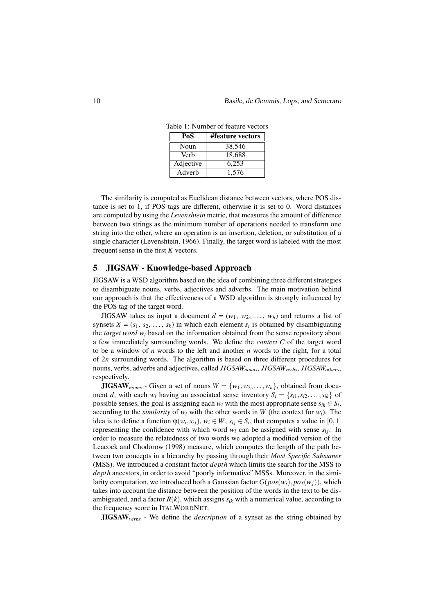| PoS       | #feature vectors |  |  |
|-----------|------------------|--|--|
| Noun      | 38,546           |  |  |
| Verb      | 18,688           |  |  |
| Adjective | 6,253            |  |  |
| Adverb    | 1.576            |  |  |

Table 1: Number of feature vectors

The similarity is computed as Euclidean distance between vectors, where POS distance is set to 1, if POS tags are different, otherwise it is set to 0. Word distances are computed by using the *Levenshtein* metric, that measures the amount of difference between two strings as the minimum number of operations needed to transform one string into the other, where an operation is an insertion, deletion, or substitution of a single character (Levenshtein, 1966). Finally, the target word is labeled with the most frequent sense in the first *K* vectors.

## 5 JIGSAW - Knowledge-based Approach

JIGSAW is a WSD algorithm based on the idea of combining three different strategies to disambiguate nouns, verbs, adjectives and adverbs. The main motivation behind our approach is that the effectiveness of a WSD algorithm is strongly influenced by the POS tag of the target word.

JIGSAW takes as input a document  $d = (w_1, w_2, ..., w_h)$  and returns a list of synsets  $X = (s_1, s_2, \ldots, s_k)$  in which each element  $s_i$  is obtained by disambiguating the *target word w<sup>i</sup>* based on the information obtained from the sense repository about a few immediately surrounding words. We define the *context C* of the target word to be a window of *n* words to the left and another *n* words to the right, for a total of 2*n* surrounding words. The algorithm is based on three different procedures for nouns, verbs, adverbs and adjectives, called *JIGSAWnouns*, *JIGSAWverbs*, *JIGSAWothers*, respectively.

**JIGSAW**<sub>nouns</sub> - Given a set of nouns  $W = \{w_1, w_2, \dots, w_n\}$ , obtained from document *d*, with each  $w_i$  having an associated sense inventory  $S_i = \{s_{i1}, s_{i2}, \ldots, s_{ik}\}\$  of possible senses, the goal is assigning each  $w_i$  with the most appropriate sense  $s_{ih} \in S_i$ , according to the *similarity* of  $w_i$  with the other words in *W* (the context for  $w_i$ ). The idea is to define a function  $\varphi(w_i, s_{ij}), w_i \in W$ ,  $s_{ij} \in S_i$ , that computes a value in [0,1] representing the confidence with which word  $w_i$  can be assigned with sense  $s_{ij}$ . In order to measure the relatedness of two words we adopted a modified version of the Leacock and Chodorow (1998) measure, which computes the length of the path between two concepts in a hierarchy by passing through their *Most Specific Subsumer* (MSS). We introduced a constant factor *depth* which limits the search for the MSS to *depth* ancestors, in order to avoid "poorly informative" MSSs. Moreover, in the similarity computation, we introduced both a Gaussian factor  $G(pos(w_i), pos(w_i))$ , which takes into account the distance between the position of the words in the text to be disambiguated, and a factor  $R(k)$ , which assigns  $s_{ik}$  with a numerical value, according to the frequency score in ITALWORDNET.

JIGSAW*verbs* - We define the *description* of a synset as the string obtained by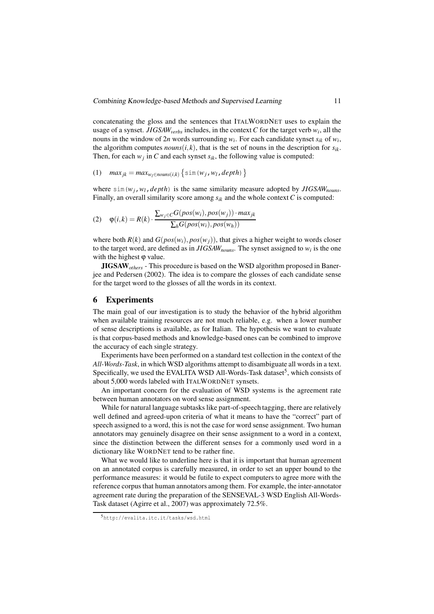concatenating the gloss and the sentences that ITALWORDNET uses to explain the usage of a synset. *JIGSAWverbs* includes, in the context *C* for the target verb *w<sup>i</sup>* , all the nouns in the window of 2*n* words surrounding *w<sup>i</sup>* . For each candidate synset *sik* of *w<sup>i</sup>* , the algorithm computes *nouns* $(i, k)$ , that is the set of nouns in the description for  $s_{ik}$ . Then, for each  $w_j$  in *C* and each synset  $s_{ik}$ , the following value is computed:

$$
(1) \quad max_{jk} = max_{w_l \in nouns(i,k)} \left\{ \sin(w_j, w_l, depth) \right\}
$$

where  $\sin(w_i, w_i, depth)$  is the same similarity measure adopted by *JIGSAW*<sub>nouns</sub>. Finally, an overall similarity score among  $s_{ik}$  and the whole context  $C$  is computed:

(2) 
$$
\varphi(i,k) = R(k) \cdot \frac{\sum_{w_j \in C} G(pos(w_i), pos(w_j)) \cdot max_{jk}}{\sum_{h} G(pos(w_i), pos(w_h))}
$$

where both  $R(k)$  and  $G(pos(w_i), pos(w_i))$ , that gives a higher weight to words closer to the target word, are defined as in *JIGSAWnouns*. The synset assigned to *w<sup>i</sup>* is the one with the highest  $\varphi$  value.

JIGSAW*others* - This procedure is based on the WSD algorithm proposed in Banerjee and Pedersen (2002). The idea is to compare the glosses of each candidate sense for the target word to the glosses of all the words in its context.

#### 6 Experiments

The main goal of our investigation is to study the behavior of the hybrid algorithm when available training resources are not much reliable, e.g. when a lower number of sense descriptions is available, as for Italian. The hypothesis we want to evaluate is that corpus-based methods and knowledge-based ones can be combined to improve the accuracy of each single strategy.

Experiments have been performed on a standard test collection in the context of the *All-Words-Task*, in which WSD algorithms attempt to disambiguate all words in a text. Specifically, we used the EVALITA WSD All-Words-Task dataset<sup>5</sup>, which consists of about 5,000 words labeled with ITALWORDNET synsets.

An important concern for the evaluation of WSD systems is the agreement rate between human annotators on word sense assignment.

While for natural language subtasks like part-of-speech tagging, there are relatively well defined and agreed-upon criteria of what it means to have the "correct" part of speech assigned to a word, this is not the case for word sense assignment. Two human annotators may genuinely disagree on their sense assignment to a word in a context, since the distinction between the different senses for a commonly used word in a dictionary like WORDNET tend to be rather fine.

What we would like to underline here is that it is important that human agreement on an annotated corpus is carefully measured, in order to set an upper bound to the performance measures: it would be futile to expect computers to agree more with the reference corpus that human annotators among them. For example, the inter-annotator agreement rate during the preparation of the SENSEVAL-3 WSD English All-Words-Task dataset (Agirre et al., 2007) was approximately 72.5%.

<sup>5</sup>http://evalita.itc.it/tasks/wsd.html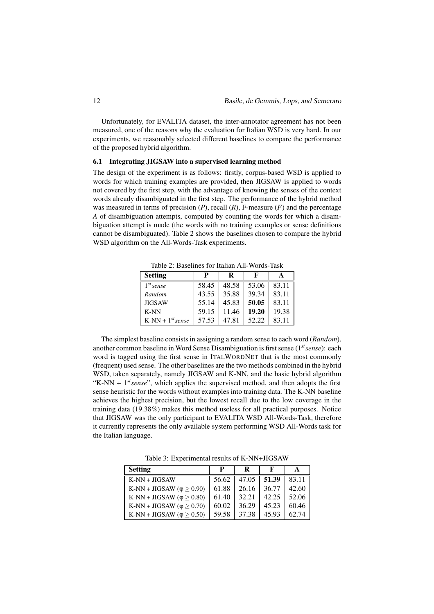Unfortunately, for EVALITA dataset, the inter-annotator agreement has not been measured, one of the reasons why the evaluation for Italian WSD is very hard. In our experiments, we reasonably selected different baselines to compare the performance of the proposed hybrid algorithm.

#### 6.1 Integrating JIGSAW into a supervised learning method

The design of the experiment is as follows: firstly, corpus-based WSD is applied to words for which training examples are provided, then JIGSAW is applied to words not covered by the first step, with the advantage of knowing the senses of the context words already disambiguated in the first step. The performance of the hybrid method was measured in terms of precision  $(P)$ , recall  $(R)$ , F-measure  $(F)$  and the percentage *A* of disambiguation attempts, computed by counting the words for which a disambiguation attempt is made (the words with no training examples or sense definitions cannot be disambiguated). Table 2 shows the baselines chosen to compare the hybrid WSD algorithm on the All-Words-Task experiments.

Table 2: Baselines for Italian All-Words-Task

| <b>Setting</b>        | P     | R     | F     |       |
|-----------------------|-------|-------|-------|-------|
| $1^{st}$ sense        | 58.45 | 48.58 | 53.06 | 83.11 |
| Random                | 43.55 | 35.88 | 39.34 | 83.11 |
| <b>JIGSAW</b>         | 55.14 | 45.83 | 50.05 | 83.11 |
| $K-NN$                | 59.15 | 11.46 | 19.20 | 19.38 |
| $K-NN + 1^{st} sense$ | 57.53 | 47.81 | 52.22 | 83.11 |

The simplest baseline consists in assigning a random sense to each word (*Random*), another common baseline in Word Sense Disambiguation is first sense (1*stsense*): each word is tagged using the first sense in ITALWORDNET that is the most commonly (frequent) used sense. The other baselines are the two methods combined in the hybrid WSD, taken separately, namely JIGSAW and K-NN, and the basic hybrid algorithm "K-NN  $+$  1<sup>st</sup> sense", which applies the supervised method, and then adopts the first sense heuristic for the words without examples into training data. The K-NN baseline achieves the highest precision, but the lowest recall due to the low coverage in the training data (19.38%) makes this method useless for all practical purposes. Notice that JIGSAW was the only participant to EVALITA WSD All-Words-Task, therefore it currently represents the only available system performing WSD All-Words task for the Italian language.

Table 3: Experimental results of K-NN+JIGSAW

| <b>Setting</b>                        | P     | R     |       |       |
|---------------------------------------|-------|-------|-------|-------|
| $K-NN + JIGSAW$                       | 56.62 | 47.05 | 51.39 | 83.11 |
| K-NN + JIGSAW ( $\varphi \geq 0.90$ ) | 61.88 | 26.16 | 36.77 | 42.60 |
| K-NN + JIGSAW ( $\varphi \geq 0.80$ ) | 61.40 | 32.21 | 42.25 | 52.06 |
| K-NN + JIGSAW ( $\varphi \geq 0.70$ ) | 60.02 | 36.29 | 45.23 | 60.46 |
| K-NN + JIGSAW ( $\varphi \geq 0.50$ ) | 59.58 | 37.38 | 45.93 | 62.74 |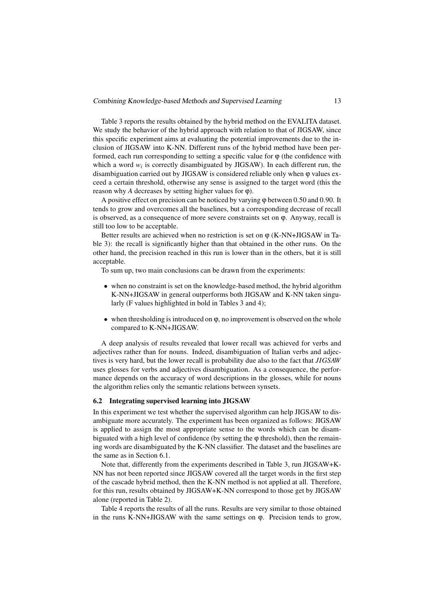Table 3 reports the results obtained by the hybrid method on the EVALITA dataset. We study the behavior of the hybrid approach with relation to that of JIGSAW, since this specific experiment aims at evaluating the potential improvements due to the inclusion of JIGSAW into K-NN. Different runs of the hybrid method have been performed, each run corresponding to setting a specific value for  $\varphi$  (the confidence with which a word  $w_i$  is correctly disambiguated by JIGSAW). In each different run, the disambiguation carried out by JIGSAW is considered reliable only when ϕ values exceed a certain threshold, otherwise any sense is assigned to the target word (this the reason why *A* decreases by setting higher values for  $\varphi$ ).

A positive effect on precision can be noticed by varying ϕ between 0.50 and 0.90. It tends to grow and overcomes all the baselines, but a corresponding decrease of recall is observed, as a consequence of more severe constraints set on ϕ. Anyway, recall is still too low to be acceptable.

Better results are achieved when no restriction is set on  $\varphi$  (K-NN+JIGSAW in Table 3): the recall is significantly higher than that obtained in the other runs. On the other hand, the precision reached in this run is lower than in the others, but it is still acceptable.

To sum up, two main conclusions can be drawn from the experiments:

- when no constraint is set on the knowledge-based method, the hybrid algorithm K-NN+JIGSAW in general outperforms both JIGSAW and K-NN taken singularly (F values highlighted in bold in Tables 3 and 4);
- when thresholding is introduced on φ, no improvement is observed on the whole compared to K-NN+JIGSAW.

A deep analysis of results revealed that lower recall was achieved for verbs and adjectives rather than for nouns. Indeed, disambiguation of Italian verbs and adjectives is very hard, but the lower recall is probability due also to the fact that *JIGSAW* uses glosses for verbs and adjectives disambiguation. As a consequence, the performance depends on the accuracy of word descriptions in the glosses, while for nouns the algorithm relies only the semantic relations between synsets.

#### 6.2 Integrating supervised learning into JIGSAW

In this experiment we test whether the supervised algorithm can help JIGSAW to disambiguate more accurately. The experiment has been organized as follows: JIGSAW is applied to assign the most appropriate sense to the words which can be disambiguated with a high level of confidence (by setting the  $\varphi$  threshold), then the remaining words are disambiguated by the K-NN classifier. The dataset and the baselines are the same as in Section 6.1.

Note that, differently from the experiments described in Table 3, run JIGSAW+K-NN has not been reported since JIGSAW covered all the target words in the first step of the cascade hybrid method, then the K-NN method is not applied at all. Therefore, for this run, results obtained by JIGSAW+K-NN correspond to those get by JIGSAW alone (reported in Table 2).

Table 4 reports the results of all the runs. Results are very similar to those obtained in the runs K-NN+JIGSAW with the same settings on ϕ. Precision tends to grow,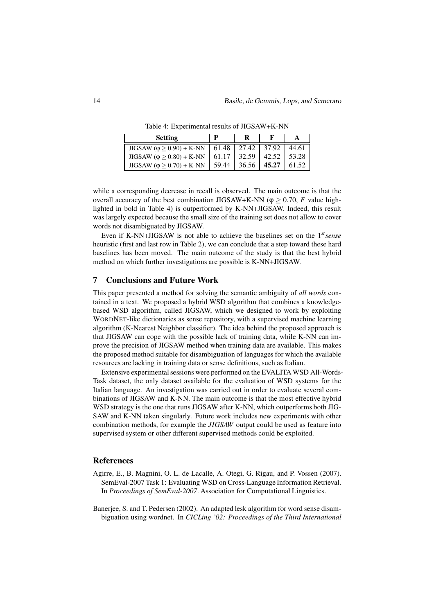Table 4: Experimental results of JIGSAW+K-NN

| <b>Setting</b>                                                       | D     |                         |       |
|----------------------------------------------------------------------|-------|-------------------------|-------|
| JIGSAW ( $\varphi \ge 0.90$ ) + K-NN   61.48   27.42   37.92   44.61 |       |                         |       |
| JIGSAW ( $\varphi \ge 0.80$ ) + K-NN                                 |       | $61.17$   32.59   42.52 | 53.28 |
| JIGSAW ( $\varphi \ge 0.70$ ) + K-NN                                 | 59.44 | $36.56$   45.27         | 61.52 |

while a corresponding decrease in recall is observed. The main outcome is that the overall accuracy of the best combination JIGSAW+K-NN ( $\varphi \ge 0.70$ , *F* value highlighted in bold in Table 4) is outperformed by K-NN+JIGSAW. Indeed, this result was largely expected because the small size of the training set does not allow to cover words not disambiguated by JIGSAW.

Even if K-NN+JIGSAW is not able to achieve the baselines set on the 1*stsense* heuristic (first and last row in Table 2), we can conclude that a step toward these hard baselines has been moved. The main outcome of the study is that the best hybrid method on which further investigations are possible is K-NN+JIGSAW.

#### 7 Conclusions and Future Work

This paper presented a method for solving the semantic ambiguity of *all words* contained in a text. We proposed a hybrid WSD algorithm that combines a knowledgebased WSD algorithm, called JIGSAW, which we designed to work by exploiting WORDNET-like dictionaries as sense repository, with a supervised machine learning algorithm (K-Nearest Neighbor classifier). The idea behind the proposed approach is that JIGSAW can cope with the possible lack of training data, while K-NN can improve the precision of JIGSAW method when training data are available. This makes the proposed method suitable for disambiguation of languages for which the available resources are lacking in training data or sense definitions, such as Italian.

Extensive experimental sessions were performed on the EVALITA WSD All-Words-Task dataset, the only dataset available for the evaluation of WSD systems for the Italian language. An investigation was carried out in order to evaluate several combinations of JIGSAW and K-NN. The main outcome is that the most effective hybrid WSD strategy is the one that runs JIGSAW after K-NN, which outperforms both JIG-SAW and K-NN taken singularly. Future work includes new experiments with other combination methods, for example the *JIGSAW* output could be used as feature into supervised system or other different supervised methods could be exploited.

## References

- Agirre, E., B. Magnini, O. L. de Lacalle, A. Otegi, G. Rigau, and P. Vossen (2007). SemEval-2007 Task 1: Evaluating WSD on Cross-Language Information Retrieval. In *Proceedings of SemEval-2007*. Association for Computational Linguistics.
- Banerjee, S. and T. Pedersen (2002). An adapted lesk algorithm for word sense disambiguation using wordnet. In *CICLing '02: Proceedings of the Third International*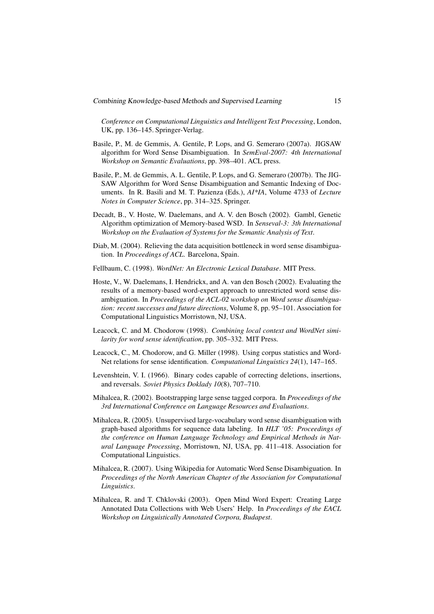*Conference on Computational Linguistics and Intelligent Text Processing*, London, UK, pp. 136–145. Springer-Verlag.

- Basile, P., M. de Gemmis, A. Gentile, P. Lops, and G. Semeraro (2007a). JIGSAW algorithm for Word Sense Disambiguation. In *SemEval-2007: 4th International Workshop on Semantic Evaluations*, pp. 398–401. ACL press.
- Basile, P., M. de Gemmis, A. L. Gentile, P. Lops, and G. Semeraro (2007b). The JIG-SAW Algorithm for Word Sense Disambiguation and Semantic Indexing of Documents. In R. Basili and M. T. Pazienza (Eds.), *AI\*IA*, Volume 4733 of *Lecture Notes in Computer Science*, pp. 314–325. Springer.
- Decadt, B., V. Hoste, W. Daelemans, and A. V. den Bosch (2002). Gambl, Genetic Algorithm optimization of Memory-based WSD. In *Senseval-3: 3th International Workshop on the Evaluation of Systems for the Semantic Analysis of Text*.
- Diab, M. (2004). Relieving the data acquisition bottleneck in word sense disambiguation. In *Proceedings of ACL*. Barcelona, Spain.
- Fellbaum, C. (1998). *WordNet: An Electronic Lexical Database*. MIT Press.
- Hoste, V., W. Daelemans, I. Hendrickx, and A. van den Bosch (2002). Evaluating the results of a memory-based word-expert approach to unrestricted word sense disambiguation. In *Proceedings of the ACL-02 workshop on Word sense disambiguation: recent successes and future directions*, Volume 8, pp. 95–101. Association for Computational Linguistics Morristown, NJ, USA.
- Leacock, C. and M. Chodorow (1998). *Combining local context and WordNet similarity for word sense identification*, pp. 305–332. MIT Press.
- Leacock, C., M. Chodorow, and G. Miller (1998). Using corpus statistics and Word-Net relations for sense identification. *Computational Linguistics 24*(1), 147–165.
- Levenshtein, V. I. (1966). Binary codes capable of correcting deletions, insertions, and reversals. *Soviet Physics Doklady 10*(8), 707–710.
- Mihalcea, R. (2002). Bootstrapping large sense tagged corpora. In *Proceedings of the 3rd International Conference on Language Resources and Evaluations*.
- Mihalcea, R. (2005). Unsupervised large-vocabulary word sense disambiguation with graph-based algorithms for sequence data labeling. In *HLT '05: Proceedings of the conference on Human Language Technology and Empirical Methods in Natural Language Processing*, Morristown, NJ, USA, pp. 411–418. Association for Computational Linguistics.
- Mihalcea, R. (2007). Using Wikipedia for Automatic Word Sense Disambiguation. In *Proceedings of the North American Chapter of the Association for Computational Linguistics*.
- Mihalcea, R. and T. Chklovski (2003). Open Mind Word Expert: Creating Large Annotated Data Collections with Web Users' Help. In *Proceedings of the EACL Workshop on Linguistically Annotated Corpora, Budapest*.